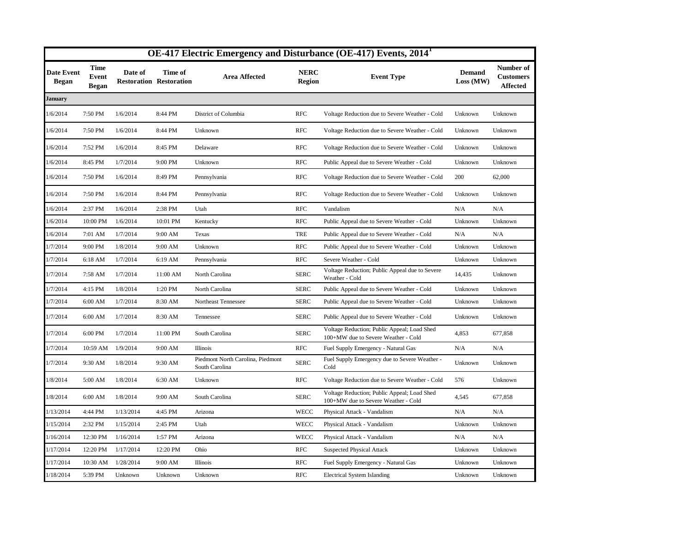|                            |                                      |           |                                           |                                                     |                              | OE-417 Electric Emergency and Disturbance (OE-417) Events, 2014 <sup>1</sup>       |                            |                                                  |
|----------------------------|--------------------------------------|-----------|-------------------------------------------|-----------------------------------------------------|------------------------------|------------------------------------------------------------------------------------|----------------------------|--------------------------------------------------|
| <b>Date Event</b><br>Began | <b>Time</b><br>Event<br><b>Began</b> | Date of   | Time of<br><b>Restoration Restoration</b> | <b>Area Affected</b>                                | <b>NERC</b><br><b>Region</b> | <b>Event Type</b>                                                                  | <b>Demand</b><br>Loss (MW) | Number of<br><b>Customers</b><br><b>Affected</b> |
| January                    |                                      |           |                                           |                                                     |                              |                                                                                    |                            |                                                  |
| 1/6/2014                   | 7:50 PM                              | 1/6/2014  | 8:44 PM                                   | District of Columbia                                | <b>RFC</b>                   | Voltage Reduction due to Severe Weather - Cold                                     | Unknown                    | Unknown                                          |
| 1/6/2014                   | 7:50 PM                              | 1/6/2014  | 8:44 PM                                   | Unknown                                             | <b>RFC</b>                   | Voltage Reduction due to Severe Weather - Cold                                     | Unknown                    | Unknown                                          |
| 1/6/2014                   | 7:52 PM                              | 1/6/2014  | 8:45 PM                                   | Delaware                                            | <b>RFC</b>                   | Voltage Reduction due to Severe Weather - Cold                                     | Unknown                    | Unknown                                          |
| 1/6/2014                   | 8:45 PM                              | 1/7/2014  | 9:00 PM                                   | Unknown                                             | <b>RFC</b>                   | Public Appeal due to Severe Weather - Cold                                         | Unknown                    | Unknown                                          |
| 1/6/2014                   | 7:50 PM                              | 1/6/2014  | 8:49 PM                                   | Pennsylvania                                        | <b>RFC</b>                   | Voltage Reduction due to Severe Weather - Cold                                     | 200                        | 62,000                                           |
| 1/6/2014                   | 7:50 PM                              | 1/6/2014  | 8:44 PM                                   | Pennsylvania                                        | <b>RFC</b>                   | Voltage Reduction due to Severe Weather - Cold                                     | Unknown                    | Unknown                                          |
| 1/6/2014                   | 2:37 PM                              | 1/6/2014  | 2:38 PM                                   | Utah                                                | <b>RFC</b>                   | Vandalism                                                                          | N/A                        | N/A                                              |
| 1/6/2014                   | 10:00 PM                             | 1/6/2014  | 10:01 PM                                  | Kentucky                                            | <b>RFC</b>                   | Public Appeal due to Severe Weather - Cold                                         | Unknown                    | Unknown                                          |
| 1/6/2014                   | 7:01 AM                              | 1/7/2014  | 9:00 AM                                   | Texas                                               | <b>TRE</b>                   | Public Appeal due to Severe Weather - Cold                                         | N/A                        | N/A                                              |
| 1/7/2014                   | 9:00 PM                              | 1/8/2014  | 9:00 AM                                   | Unknown                                             | <b>RFC</b>                   | Public Appeal due to Severe Weather - Cold                                         | Unknown                    | Unknown                                          |
| 1/7/2014                   | 6:18 AM                              | 1/7/2014  | 6:19 AM                                   | Pennsylvania                                        | <b>RFC</b>                   | Severe Weather - Cold                                                              | Unknown                    | Unknown                                          |
| 1/7/2014                   | 7:58 AM                              | 1/7/2014  | 11:00 AM                                  | North Carolina                                      | <b>SERC</b>                  | Voltage Reduction; Public Appeal due to Severe<br>Weather - Cold                   | 14,435                     | Unknown                                          |
| 1/7/2014                   | 4:15 PM                              | 1/8/2014  | 1:20 PM                                   | North Carolina                                      | <b>SERC</b>                  | Public Appeal due to Severe Weather - Cold                                         | Unknown                    | Unknown                                          |
| 1/7/2014                   | 6:00 AM                              | 1/7/2014  | 8:30 AM                                   | Northeast Tennessee                                 | <b>SERC</b>                  | Public Appeal due to Severe Weather - Cold                                         | Unknown                    | Unknown                                          |
| 1/7/2014                   | 6:00 AM                              | 1/7/2014  | 8:30 AM                                   | Tennessee                                           | <b>SERC</b>                  | Public Appeal due to Severe Weather - Cold                                         | Unknown                    | Unknown                                          |
| 1/7/2014                   | 6:00 PM                              | 1/7/2014  | 11:00 PM                                  | South Carolina                                      | <b>SERC</b>                  | Voltage Reduction; Public Appeal; Load Shed<br>100+MW due to Severe Weather - Cold | 4,853                      | 677,858                                          |
| 1/7/2014                   | 10:59 AM                             | 1/9/2014  | 9:00 AM                                   | Illinois                                            | <b>RFC</b>                   | Fuel Supply Emergency - Natural Gas                                                | N/A                        | N/A                                              |
| 1/7/2014                   | 9:30 AM                              | 1/8/2014  | 9:30 AM                                   | Piedmont North Carolina, Piedmont<br>South Carolina | <b>SERC</b>                  | Fuel Supply Emergency due to Severe Weather -<br>Cold                              | Unknown                    | Unknown                                          |
| 1/8/2014                   | 5:00 AM                              | 1/8/2014  | 6:30 AM                                   | Unknown                                             | <b>RFC</b>                   | Voltage Reduction due to Severe Weather - Cold                                     | 576                        | Unknown                                          |
| 1/8/2014                   | 6:00 AM                              | 1/8/2014  | 9:00 AM                                   | South Carolina                                      | <b>SERC</b>                  | Voltage Reduction; Public Appeal; Load Shed<br>100+MW due to Severe Weather - Cold | 4,545                      | 677,858                                          |
| 1/13/2014                  | 4:44 PM                              | 1/13/2014 | 4:45 PM                                   | Arizona                                             | WECC                         | Physical Attack - Vandalism                                                        | N/A                        | N/A                                              |
| 1/15/2014                  | 2:32 PM                              | 1/15/2014 | 2:45 PM                                   | Utah                                                | <b>WECC</b>                  | Physical Attack - Vandalism                                                        | Unknown                    | Unknown                                          |
| 1/16/2014                  | 12:30 PM                             | 1/16/2014 | 1:57 PM                                   | Arizona                                             | WECC                         | Physical Attack - Vandalism                                                        | N/A                        | N/A                                              |
| 1/17/2014                  | 12:20 PM                             | 1/17/2014 | 12:20 PM                                  | Ohio                                                | <b>RFC</b>                   | <b>Suspected Physical Attack</b>                                                   | Unknown                    | Unknown                                          |
| 1/17/2014                  | 10:30 AM                             | 1/28/2014 | 9:00 AM                                   | Illinois                                            | <b>RFC</b>                   | Fuel Supply Emergency - Natural Gas                                                | Unknown                    | Unknown                                          |
| 1/18/2014                  | 5:39 PM                              | Unknown   | Unknown                                   | Unknown                                             | <b>RFC</b>                   | <b>Electrical System Islanding</b>                                                 | Unknown                    | Unknown                                          |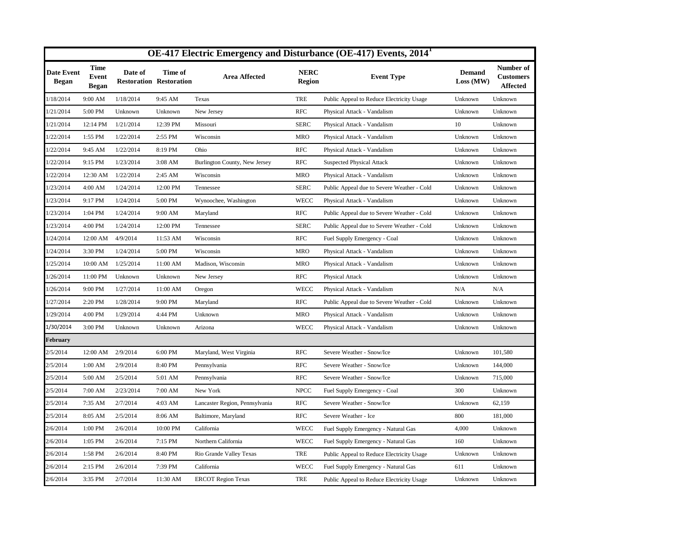|                                   |                                      |           |                                           |                                |                              | OE-417 Electric Emergency and Disturbance (OE-417) Events, 2014 <sup>1</sup> |                            |                                                  |
|-----------------------------------|--------------------------------------|-----------|-------------------------------------------|--------------------------------|------------------------------|------------------------------------------------------------------------------|----------------------------|--------------------------------------------------|
| <b>Date Event</b><br><b>Began</b> | <b>Time</b><br>Event<br><b>Began</b> | Date of   | Time of<br><b>Restoration Restoration</b> | <b>Area Affected</b>           | <b>NERC</b><br><b>Region</b> | <b>Event Type</b>                                                            | <b>Demand</b><br>Loss (MW) | Number of<br><b>Customers</b><br><b>Affected</b> |
| 1/18/2014                         | 9:00 AM                              | 1/18/2014 | 9:45 AM                                   | Texas                          | <b>TRE</b>                   | Public Appeal to Reduce Electricity Usage                                    | Unknown                    | Unknown                                          |
| 1/21/2014                         | 5:00 PM                              | Unknown   | Unknown                                   | New Jersey                     | <b>RFC</b>                   | Physical Attack - Vandalism                                                  | Unknown                    | Unknown                                          |
| 1/21/2014                         | 12:14 PM                             | 1/21/2014 | 12:39 PM                                  | Missouri                       | <b>SERC</b>                  | Physical Attack - Vandalism                                                  | 10                         | Unknown                                          |
| 1/22/2014                         | 1:55 PM                              | 1/22/2014 | 2:55 PM                                   | Wisconsin                      | <b>MRO</b>                   | Physical Attack - Vandalism                                                  | Unknown                    | Unknown                                          |
| 1/22/2014                         | 9:45 AM                              | 1/22/2014 | 8:19 PM                                   | Ohio                           | <b>RFC</b>                   | Physical Attack - Vandalism                                                  | Unknown                    | Unknown                                          |
| 1/22/2014                         | 9:15 PM                              | 1/23/2014 | $3:08$ AM                                 | Burlington County, New Jersey  | <b>RFC</b>                   | <b>Suspected Physical Attack</b>                                             | Unknown                    | Unknown                                          |
| 1/22/2014                         | 12:30 AM                             | 1/22/2014 | 2:45 AM                                   | Wisconsin                      | <b>MRO</b>                   | Physical Attack - Vandalism                                                  | Unknown                    | Unknown                                          |
| 1/23/2014                         | 4:00 AM                              | 1/24/2014 | 12:00 PM                                  | Tennessee                      | <b>SERC</b>                  | Public Appeal due to Severe Weather - Cold                                   | Unknown                    | Unknown                                          |
| 1/23/2014                         | 9:17 PM                              | 1/24/2014 | 5:00 PM                                   | Wynoochee, Washington          | <b>WECC</b>                  | Physical Attack - Vandalism                                                  | Unknown                    | Unknown                                          |
| 1/23/2014                         | 1:04 PM                              | 1/24/2014 | 9:00 AM                                   | Maryland                       | <b>RFC</b>                   | Public Appeal due to Severe Weather - Cold                                   | Unknown                    | Unknown                                          |
| 1/23/2014                         | 4:00 PM                              | 1/24/2014 | 12:00 PM                                  | Tennessee                      | <b>SERC</b>                  | Public Appeal due to Severe Weather - Cold                                   | Unknown                    | Unknown                                          |
| 1/24/2014                         | 12:00 AM                             | 4/9/2014  | 11:53 AM                                  | Wisconsin                      | <b>RFC</b>                   | Fuel Supply Emergency - Coal                                                 | Unknown                    | Unknown                                          |
| 1/24/2014                         | 3:30 PM                              | 1/24/2014 | 5:00 PM                                   | Wisconsin                      | <b>MRO</b>                   | Physical Attack - Vandalism                                                  | Unknown                    | Unknown                                          |
| 1/25/2014                         | 10:00 AM                             | 1/25/2014 | 11:00 AM                                  | Madison, Wisconsin             | <b>MRO</b>                   | Physical Attack - Vandalism                                                  | Unknown                    | Unknown                                          |
| 1/26/2014                         | 11:00 PM                             | Unknown   | Unknown                                   | New Jersey                     | <b>RFC</b>                   | Physical Attack                                                              | Unknown                    | Unknown                                          |
| 1/26/2014                         | 9:00 PM                              | 1/27/2014 | 11:00 AM                                  | Oregon                         | <b>WECC</b>                  | Physical Attack - Vandalism                                                  | N/A                        | N/A                                              |
| 1/27/2014                         | 2:20 PM                              | 1/28/2014 | 9:00 PM                                   | Maryland                       | <b>RFC</b>                   | Public Appeal due to Severe Weather - Cold                                   | Unknown                    | Unknown                                          |
| 1/29/2014                         | 4:00 PM                              | 1/29/2014 | 4:44 PM                                   | Unknown                        | <b>MRO</b>                   | Physical Attack - Vandalism                                                  | Unknown                    | Unknown                                          |
| 1/30/2014                         | 3:00 PM                              | Unknown   | Unknown                                   | Arizona                        | <b>WECC</b>                  | Physical Attack - Vandalism                                                  | Unknown                    | Unknown                                          |
| <b>February</b>                   |                                      |           |                                           |                                |                              |                                                                              |                            |                                                  |
| 2/5/2014                          | 12:00 AM                             | 2/9/2014  | 6:00 PM                                   | Maryland, West Virginia        | <b>RFC</b>                   | Severe Weather - Snow/Ice                                                    | Unknown                    | 101,580                                          |
| 2/5/2014                          | 1:00 AM                              | 2/9/2014  | 8:40 PM                                   | Pennsylvania                   | <b>RFC</b>                   | Severe Weather - Snow/Ice                                                    | Unknown                    | 144,000                                          |
| 2/5/2014                          | 5:00 AM                              | 2/5/2014  | 5:01 AM                                   | Pennsylvania                   | <b>RFC</b>                   | Severe Weather - Snow/Ice                                                    | Unknown                    | 715,000                                          |
| 2/5/2014                          | 7:00 AM                              | 2/23/2014 | 7:00 AM                                   | New York                       | <b>NPCC</b>                  | Fuel Supply Emergency - Coal                                                 | 300                        | Unknown                                          |
| 2/5/2014                          | 7:35 AM                              | 2/7/2014  | 4:03 AM                                   | Lancaster Region, Pennsylvania | <b>RFC</b>                   | Severe Weather - Snow/Ice                                                    | Unknown                    | 62,159                                           |
| 2/5/2014                          | 8:05 AM                              | 2/5/2014  | 8:06 AM                                   | Baltimore, Maryland            | <b>RFC</b>                   | Severe Weather - Ice                                                         | 800                        | 181,000                                          |
| 2/6/2014                          | 1:00 PM                              | 2/6/2014  | 10:00 PM                                  | California                     | <b>WECC</b>                  | Fuel Supply Emergency - Natural Gas                                          | 4,000                      | Unknown                                          |
| 2/6/2014                          | 1:05 PM                              | 2/6/2014  | 7:15 PM                                   | Northern California            | WECC                         | Fuel Supply Emergency - Natural Gas                                          | 160                        | Unknown                                          |
| 2/6/2014                          | 1:58 PM                              | 2/6/2014  | 8:40 PM                                   | Rio Grande Valley Texas        | <b>TRE</b>                   | Public Appeal to Reduce Electricity Usage                                    | Unknown                    | Unknown                                          |
| 2/6/2014                          | 2:15 PM                              | 2/6/2014  | 7:39 PM                                   | California                     | <b>WECC</b>                  | Fuel Supply Emergency - Natural Gas                                          | 611                        | Unknown                                          |
| 2/6/2014                          | 3:35 PM                              | 2/7/2014  | 11:30 AM                                  | <b>ERCOT</b> Region Texas      | <b>TRE</b>                   | Public Appeal to Reduce Electricity Usage                                    | Unknown                    | Unknown                                          |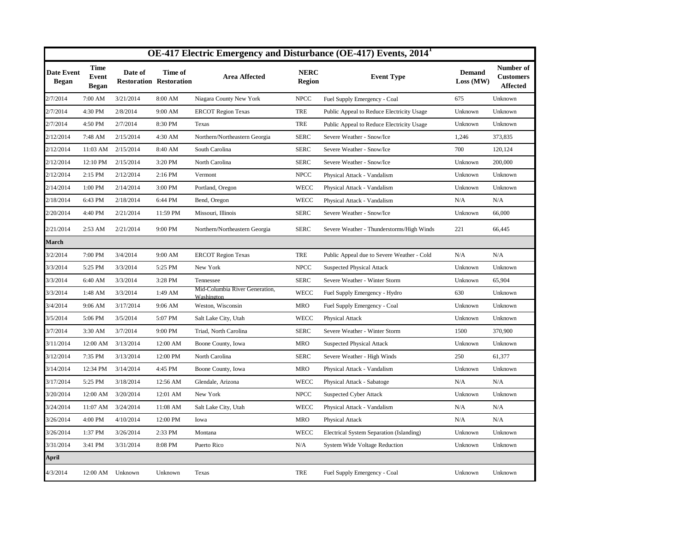|                                   |                                             |           |                                           |                                              |                              | OE-417 Electric Emergency and Disturbance (OE-417) Events, 2014 <sup>1</sup> |                            |                                                  |
|-----------------------------------|---------------------------------------------|-----------|-------------------------------------------|----------------------------------------------|------------------------------|------------------------------------------------------------------------------|----------------------------|--------------------------------------------------|
| <b>Date Event</b><br><b>Began</b> | <b>Time</b><br><b>Event</b><br><b>Began</b> | Date of   | Time of<br><b>Restoration Restoration</b> | <b>Area Affected</b>                         | <b>NERC</b><br><b>Region</b> | <b>Event Type</b>                                                            | <b>Demand</b><br>Loss (MW) | Number of<br><b>Customers</b><br><b>Affected</b> |
| 2/7/2014                          | 7:00 AM                                     | 3/21/2014 | 8:00 AM                                   | Niagara County New York                      | <b>NPCC</b>                  | Fuel Supply Emergency - Coal                                                 | 675                        | Unknown                                          |
| 2/7/2014                          | 4:30 PM                                     | 2/8/2014  | 9:00 AM                                   | <b>ERCOT Region Texas</b>                    | <b>TRE</b>                   | Public Appeal to Reduce Electricity Usage                                    | Unknown                    | Unknown                                          |
| 2/7/2014                          | 4:50 PM                                     | 2/7/2014  | 8:30 PM                                   | Texas                                        | <b>TRE</b>                   | Public Appeal to Reduce Electricity Usage                                    | Unknown                    | Unknown                                          |
| 2/12/2014                         | 7:48 AM                                     | 2/15/2014 | 4:30 AM                                   | Northern/Northeastern Georgia                | <b>SERC</b>                  | Severe Weather - Snow/Ice                                                    | 1,246                      | 373,835                                          |
| 2/12/2014                         | 11:03 AM                                    | 2/15/2014 | 8:40 AM                                   | South Carolina                               | <b>SERC</b>                  | Severe Weather - Snow/Ice                                                    | 700                        | 120,124                                          |
| 2/12/2014                         | 12:10 PM                                    | 2/15/2014 | 3:20 PM                                   | North Carolina                               | <b>SERC</b>                  | Severe Weather - Snow/Ice                                                    | Unknown                    | 200,000                                          |
| 2/12/2014                         | 2:15 PM                                     | 2/12/2014 | 2:16 PM                                   | Vermont                                      | <b>NPCC</b>                  | Physical Attack - Vandalism                                                  | Unknown                    | Unknown                                          |
| 2/14/2014                         | 1:00 PM                                     | 2/14/2014 | 3:00 PM                                   | Portland, Oregon                             | <b>WECC</b>                  | Physical Attack - Vandalism                                                  | Unknown                    | Unknown                                          |
| 2/18/2014                         | 6:43 PM                                     | 2/18/2014 | 6:44 PM                                   | Bend, Oregon                                 | <b>WECC</b>                  | Physical Attack - Vandalism                                                  | N/A                        | N/A                                              |
| 2/20/2014                         | 4:40 PM                                     | 2/21/2014 | 11:59 PM                                  | Missouri, Illinois                           | <b>SERC</b>                  | Severe Weather - Snow/Ice                                                    | Unknown                    | 66,000                                           |
| 2/21/2014                         | 2:53 AM                                     | 2/21/2014 | 9:00 PM                                   | Northern/Northeastern Georgia                | <b>SERC</b>                  | Severe Weather - Thunderstorms/High Winds                                    | 221                        | 66,445                                           |
| March                             |                                             |           |                                           |                                              |                              |                                                                              |                            |                                                  |
| 3/2/2014                          | 7:00 PM                                     | 3/4/2014  | 9:00 AM                                   | <b>ERCOT Region Texas</b>                    | <b>TRE</b>                   | Public Appeal due to Severe Weather - Cold                                   | N/A                        | N/A                                              |
| 3/3/2014                          | 5:25 PM                                     | 3/3/2014  | 5:25 PM                                   | New York                                     | <b>NPCC</b>                  | <b>Suspected Physical Attack</b>                                             | Unknown                    | Unknown                                          |
| 3/3/2014                          | 6:40 AM                                     | 3/3/2014  | 3:28 PM                                   | Tennessee                                    | <b>SERC</b>                  | Severe Weather - Winter Storm                                                | Unknown                    | 65,904                                           |
| 3/3/2014                          | 1:48 AM                                     | 3/3/2014  | 1:49 AM                                   | Mid-Columbia River Generation,<br>Washington | WECC                         | Fuel Supply Emergency - Hydro                                                | 630                        | Unknown                                          |
| 3/4/2014                          | 9:06 AM                                     | 3/17/2014 | 9:06 AM                                   | Weston, Wisconsin                            | <b>MRO</b>                   | Fuel Supply Emergency - Coal                                                 | Unknown                    | Unknown                                          |
| 3/5/2014                          | 5:06 PM                                     | 3/5/2014  | 5:07 PM                                   | Salt Lake City, Utah                         | WECC                         | Physical Attack                                                              | Unknown                    | Unknown                                          |
| 3/7/2014                          | 3:30 AM                                     | 3/7/2014  | 9:00 PM                                   | Triad, North Carolina                        | <b>SERC</b>                  | Severe Weather - Winter Storm                                                | 1500                       | 370,900                                          |
| 3/11/2014                         | 12:00 AM                                    | 3/13/2014 | 12:00 AM                                  | Boone County, Iowa                           | <b>MRO</b>                   | <b>Suspected Physical Attack</b>                                             | Unknown                    | Unknown                                          |
| 3/12/2014                         | 7:35 PM                                     | 3/13/2014 | 12:00 PM                                  | North Carolina                               | <b>SERC</b>                  | Severe Weather - High Winds                                                  | 250                        | 61,377                                           |
| 3/14/2014                         | 12:34 PM                                    | 3/14/2014 | 4:45 PM                                   | Boone County, Iowa                           | <b>MRO</b>                   | Physical Attack - Vandalism                                                  | Unknown                    | Unknown                                          |
| 3/17/2014                         | 5:25 PM                                     | 3/18/2014 | 12:56 AM                                  | Glendale, Arizona                            | WECC                         | Physical Attack - Sabatoge                                                   | N/A                        | N/A                                              |
| 3/20/2014                         | 12:00 AM                                    | 3/20/2014 | 12:01 AM                                  | New York                                     | <b>NPCC</b>                  | <b>Suspected Cyber Attack</b>                                                | Unknown                    | Unknown                                          |
| 3/24/2014                         | 11:07 AM                                    | 3/24/2014 | 11:08 AM                                  | Salt Lake City, Utah                         | WECC                         | Physical Attack - Vandalism                                                  | N/A                        | N/A                                              |
| 3/26/2014                         | 4:00 PM                                     | 4/10/2014 | 12:00 PM                                  | Iowa                                         | <b>MRO</b>                   | Physical Attack                                                              | N/A                        | N/A                                              |
| 3/26/2014                         | 1:37 PM                                     | 3/26/2014 | 2:33 PM                                   | Montana                                      | <b>WECC</b>                  | Electrical System Separation (Islanding)                                     | Unknown                    | Unknown                                          |
| 3/31/2014                         | 3:41 PM                                     | 3/31/2014 | 8:08 PM                                   | Puerto Rico                                  | N/A                          | <b>System Wide Voltage Reduction</b>                                         | Unknown                    | Unknown                                          |
| April                             |                                             |           |                                           |                                              |                              |                                                                              |                            |                                                  |
| 4/3/2014                          | 12:00 AM Unknown                            |           | Unknown                                   | Texas                                        | TRE                          | Fuel Supply Emergency - Coal                                                 | Unknown                    | Unknown                                          |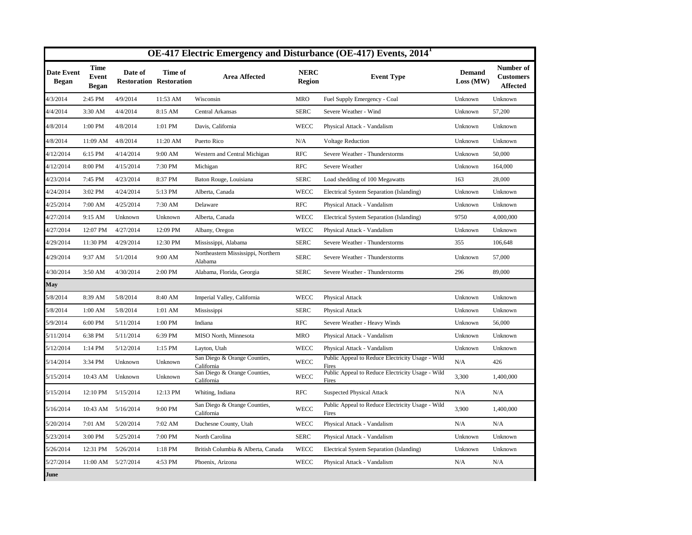|                            |                                             |           |                                           |                                               |                              | OE-417 Electric Emergency and Disturbance (OE-417) Events, 2014 <sup>1</sup> |                            |                                                  |
|----------------------------|---------------------------------------------|-----------|-------------------------------------------|-----------------------------------------------|------------------------------|------------------------------------------------------------------------------|----------------------------|--------------------------------------------------|
| Date Event<br><b>Began</b> | <b>Time</b><br><b>Event</b><br><b>Began</b> | Date of   | Time of<br><b>Restoration Restoration</b> | <b>Area Affected</b>                          | <b>NERC</b><br><b>Region</b> | <b>Event Type</b>                                                            | <b>Demand</b><br>Loss (MW) | Number of<br><b>Customers</b><br><b>Affected</b> |
| 4/3/2014                   | 2:45 PM                                     | 4/9/2014  | 11:53 AM                                  | Wisconsin                                     | <b>MRO</b>                   | Fuel Supply Emergency - Coal                                                 | Unknown                    | Unknown                                          |
| 4/4/2014                   | 3:30 AM                                     | 4/4/2014  | 8:15 AM                                   | Central Arkansas                              | <b>SERC</b>                  | Severe Weather - Wind                                                        | Unknown                    | 57,200                                           |
| 4/8/2014                   | 1:00 PM                                     | 4/8/2014  | 1:01 PM                                   | Davis, California                             | <b>WECC</b>                  | Physical Attack - Vandalism                                                  | Unknown                    | Unknown                                          |
| 4/8/2014                   | 11:09 AM                                    | 4/8/2014  | 11:20 AM                                  | Puerto Rico                                   | N/A                          | <b>Voltage Reduction</b>                                                     | Unknown                    | Unknown                                          |
| 4/12/2014                  | 6:15 PM                                     | 4/14/2014 | 9:00 AM                                   | Western and Central Michigan                  | <b>RFC</b>                   | Severe Weather - Thunderstorms                                               | Unknown                    | 50,000                                           |
| 4/12/2014                  | 8:00 PM                                     | 4/15/2014 | 7:30 PM                                   | Michigan                                      | <b>RFC</b>                   | Severe Weather                                                               | Unknown                    | 164,000                                          |
| 4/23/2014                  | 7:45 PM                                     | 4/23/2014 | 8:37 PM                                   | Baton Rouge, Louisiana                        | <b>SERC</b>                  | Load shedding of 100 Megawatts                                               | 163                        | 28,000                                           |
| 4/24/2014                  | 3:02 PM                                     | 4/24/2014 | 5:13 PM                                   | Alberta, Canada                               | <b>WECC</b>                  | Electrical System Separation (Islanding)                                     | Unknown                    | Unknown                                          |
| 4/25/2014                  | 7:00 AM                                     | 4/25/2014 | 7:30 AM                                   | Delaware                                      | <b>RFC</b>                   | Physical Attack - Vandalism                                                  | Unknown                    | Unknown                                          |
| 4/27/2014                  | 9:15 AM                                     | Unknown   | Unknown                                   | Alberta, Canada                               | <b>WECC</b>                  | Electrical System Separation (Islanding)                                     | 9750                       | 4,000,000                                        |
| 4/27/2014                  | 12:07 PM                                    | 4/27/2014 | 12:09 PM                                  | Albany, Oregon                                | WECC                         | Physical Attack - Vandalism                                                  | Unknown                    | Unknown                                          |
| 4/29/2014                  | 11:30 PM                                    | 4/29/2014 | 12:30 PM                                  | Mississippi, Alabama                          | <b>SERC</b>                  | Severe Weather - Thunderstorms                                               | 355                        | 106,648                                          |
| 4/29/2014                  | 9:37 AM                                     | 5/1/2014  | 9:00 AM                                   | Northeastern Mississippi, Northern<br>Alabama | <b>SERC</b>                  | Severe Weather - Thunderstorms                                               | Unknown                    | 57,000                                           |
| 4/30/2014                  | 3:50 AM                                     | 4/30/2014 | 2:00 PM                                   | Alabama, Florida, Georgia                     | <b>SERC</b>                  | Severe Weather - Thunderstorms                                               | 296                        | 89,000                                           |
| May                        |                                             |           |                                           |                                               |                              |                                                                              |                            |                                                  |
| 5/8/2014                   | 8:39 AM                                     | 5/8/2014  | 8:40 AM                                   | Imperial Valley, California                   | <b>WECC</b>                  | <b>Physical Attack</b>                                                       | Unknown                    | Unknown                                          |
| 5/8/2014                   | 1:00 AM                                     | 5/8/2014  | $1:01$ AM                                 | Mississippi                                   | <b>SERC</b>                  | <b>Physical Attack</b>                                                       | Unknown                    | Unknown                                          |
| 5/9/2014                   | 6:00 PM                                     | 5/11/2014 | 1:00 PM                                   | Indiana                                       | <b>RFC</b>                   | Severe Weather - Heavy Winds                                                 | Unknown                    | 56,000                                           |
| 5/11/2014                  | 6:38 PM                                     | 5/11/2014 | 6:39 PM                                   | MISO North, Minnesota                         | <b>MRO</b>                   | Physical Attack - Vandalism                                                  | Unknown                    | Unknown                                          |
| 5/12/2014                  | 1:14 PM                                     | 5/12/2014 | 1:15 PM                                   | Layton, Utah                                  | <b>WECC</b>                  | Physical Attack - Vandalism                                                  | Unknown                    | Unknown                                          |
| 5/14/2014                  | 3:34 PM                                     | Unknown   | Unknown                                   | San Diego & Orange Counties,<br>California    | <b>WECC</b>                  | Public Appeal to Reduce Electricity Usage - Wild<br>Fires                    | N/A                        | 426                                              |
| 5/15/2014                  | 10:43 AM                                    | Unknown   | Unknown                                   | San Diego & Orange Counties,<br>California    | <b>WECC</b>                  | Public Appeal to Reduce Electricity Usage - Wild<br>Fires                    | 3,300                      | 1,400,000                                        |
| 5/15/2014                  | 12:10 PM                                    | 5/15/2014 | 12:13 PM                                  | Whiting, Indiana                              | <b>RFC</b>                   | <b>Suspected Physical Attack</b>                                             | N/A                        | N/A                                              |
| 5/16/2014                  | 10:43 AM                                    | 5/16/2014 | 9:00 PM                                   | San Diego & Orange Counties,<br>California    | <b>WECC</b>                  | Public Appeal to Reduce Electricity Usage - Wild<br>Fires                    | 3,900                      | 1,400,000                                        |
| 5/20/2014                  | 7:01 AM                                     | 5/20/2014 | 7:02 AM                                   | Duchesne County, Utah                         | <b>WECC</b>                  | Physical Attack - Vandalism                                                  | N/A                        | N/A                                              |
| 5/23/2014                  | 3:00 PM                                     | 5/25/2014 | 7:00 PM                                   | North Carolina                                | <b>SERC</b>                  | Physical Attack - Vandalism                                                  | Unknown                    | Unknown                                          |
| 5/26/2014                  | 12:31 PM                                    | 5/26/2014 | 1:18 PM                                   | British Columbia & Alberta, Canada            | <b>WECC</b>                  | Electrical System Separation (Islanding)                                     | Unknown                    | Unknown                                          |
| 5/27/2014                  | 11:00 AM                                    | 5/27/2014 | 4:53 PM                                   | Phoenix, Arizona                              | <b>WECC</b>                  | Physical Attack - Vandalism                                                  | N/A                        | N/A                                              |
| June                       |                                             |           |                                           |                                               |                              |                                                                              |                            |                                                  |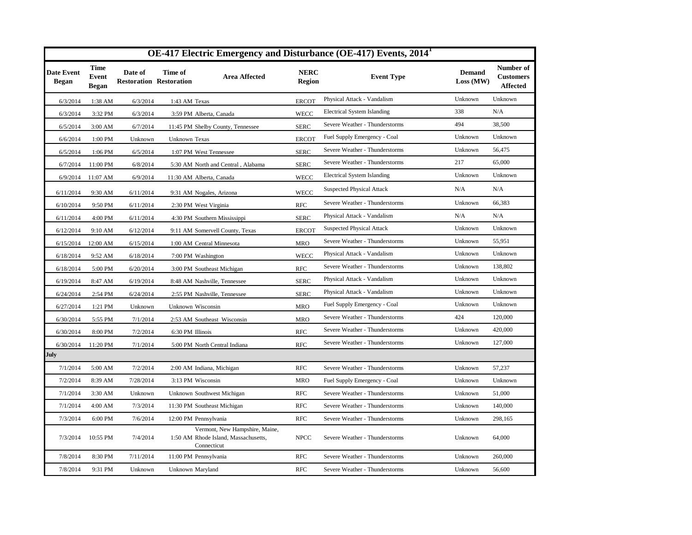|                                   |                                             |                                           |                              |                                                                                       |                              | OE-417 Electric Emergency and Disturbance (OE-417) Events, 2014 <sup>1</sup> |                            |                                                  |
|-----------------------------------|---------------------------------------------|-------------------------------------------|------------------------------|---------------------------------------------------------------------------------------|------------------------------|------------------------------------------------------------------------------|----------------------------|--------------------------------------------------|
| <b>Date Event</b><br><b>Began</b> | <b>Time</b><br><b>Event</b><br><b>Began</b> | Date of<br><b>Restoration Restoration</b> | Time of                      | <b>Area Affected</b>                                                                  | <b>NERC</b><br><b>Region</b> | <b>Event Type</b>                                                            | <b>Demand</b><br>Loss (MW) | Number of<br><b>Customers</b><br><b>Affected</b> |
| 6/3/2014                          | 1:38 AM                                     | 6/3/2014                                  | 1:43 AM Texas                |                                                                                       | <b>ERCOT</b>                 | Physical Attack - Vandalism                                                  | Unknown                    | Unknown                                          |
| 6/3/2014                          | 3:32 PM                                     | 6/3/2014                                  | 3:59 PM Alberta, Canada      |                                                                                       | <b>WECC</b>                  | <b>Electrical System Islanding</b>                                           | 338                        | N/A                                              |
| 6/5/2014                          | 3:00 AM                                     | 6/7/2014                                  |                              | 11:45 PM Shelby County, Tennessee                                                     | <b>SERC</b>                  | Severe Weather - Thunderstorms                                               | 494                        | 38,500                                           |
| 6/6/2014                          | 1:00 PM                                     | Unknown                                   | Unknown Texas                |                                                                                       | <b>ERCOT</b>                 | Fuel Supply Emergency - Coal                                                 | Unknown                    | Unknown                                          |
| 6/5/2014                          | 1:06 PM                                     | 6/5/2014                                  | 1:07 PM West Tennessee       |                                                                                       | <b>SERC</b>                  | Severe Weather - Thunderstorms                                               | Unknown                    | 56,475                                           |
| 6/7/2014                          | 11:00 PM                                    | 6/8/2014                                  |                              | 5:30 AM North and Central, Alabama                                                    | <b>SERC</b>                  | Severe Weather - Thunderstorms                                               | 217                        | 65,000                                           |
| 6/9/2014                          | $11:07$ AM                                  | 6/9/2014                                  | 11:30 AM Alberta, Canada     |                                                                                       | <b>WECC</b>                  | <b>Electrical System Islanding</b>                                           | Unknown                    | Unknown                                          |
| 6/11/2014                         | 9:30 AM                                     | 6/11/2014                                 | 9:31 AM Nogales, Arizona     |                                                                                       | <b>WECC</b>                  | <b>Suspected Physical Attack</b>                                             | N/A                        | N/A                                              |
| 6/10/2014                         | 9:50 PM                                     | 6/11/2014                                 | 2:30 PM West Virginia        |                                                                                       | <b>RFC</b>                   | Severe Weather - Thunderstorms                                               | Unknown                    | 66,383                                           |
| 6/11/2014                         | 4:00 PM                                     | 6/11/2014                                 | 4:30 PM Southern Mississippi |                                                                                       | <b>SERC</b>                  | Physical Attack - Vandalism                                                  | N/A                        | N/A                                              |
| 6/12/2014                         | 9:10 AM                                     | 6/12/2014                                 |                              | 9:11 AM Somervell County, Texas                                                       | <b>ERCOT</b>                 | <b>Suspected Physical Attack</b>                                             | Unknown                    | Unknown                                          |
| 6/15/2014                         | 12:00 AM                                    | 6/15/2014                                 | 1:00 AM Central Minnesota    |                                                                                       | <b>MRO</b>                   | Severe Weather - Thunderstorms                                               | Unknown                    | 55,951                                           |
| 6/18/2014                         | 9:52 AM                                     | 6/18/2014                                 | 7:00 PM Washington           |                                                                                       | <b>WECC</b>                  | Physical Attack - Vandalism                                                  | Unknown                    | Unknown                                          |
| 6/18/2014                         | 5:00 PM                                     | 6/20/2014                                 | 3:00 PM Southeast Michigan   |                                                                                       | <b>RFC</b>                   | Severe Weather - Thunderstorms                                               | Unknown                    | 138,802                                          |
| 6/19/2014                         | 8:47 AM                                     | 6/19/2014                                 | 8:48 AM Nashville, Tennessee |                                                                                       | <b>SERC</b>                  | Physical Attack - Vandalism                                                  | Unknown                    | Unknown                                          |
| 6/24/2014                         | 2:54 PM                                     | 6/24/2014                                 | 2:55 PM Nashville, Tennessee |                                                                                       | <b>SERC</b>                  | Physical Attack - Vandalism                                                  | Unknown                    | Unknown                                          |
| 6/27/2014                         | 1:21 PM                                     | Unknown                                   | Unknown Wisconsin            |                                                                                       | <b>MRO</b>                   | Fuel Supply Emergency - Coal                                                 | Unknown                    | Unknown                                          |
| 6/30/2014                         | 5:55 PM                                     | 7/1/2014                                  | 2:53 AM Southeast Wisconsin  |                                                                                       | <b>MRO</b>                   | Severe Weather - Thunderstorms                                               | 424                        | 120,000                                          |
| 6/30/2014                         | 8:00 PM                                     | 7/2/2014                                  | 6:30 PM Illinois             |                                                                                       | <b>RFC</b>                   | Severe Weather - Thunderstorms                                               | Unknown                    | 420,000                                          |
| 6/30/2014                         | 11:20 PM                                    | 7/1/2014                                  |                              | 5:00 PM North Central Indiana                                                         | <b>RFC</b>                   | Severe Weather - Thunderstorms                                               | Unknown                    | 127,000                                          |
| July                              |                                             |                                           |                              |                                                                                       |                              |                                                                              |                            |                                                  |
| 7/1/2014                          | 5:00 AM                                     | 7/2/2014                                  | 2:00 AM Indiana, Michigan    |                                                                                       | <b>RFC</b>                   | Severe Weather - Thunderstorms                                               | Unknown                    | 57,237                                           |
| 7/2/2014                          | 8:39 AM                                     | 7/28/2014                                 | 3:13 PM Wisconsin            |                                                                                       | <b>MRO</b>                   | Fuel Supply Emergency - Coal                                                 | Unknown                    | Unknown                                          |
| 7/1/2014                          | 3:30 AM                                     | Unknown                                   | Unknown Southwest Michigan   |                                                                                       | <b>RFC</b>                   | Severe Weather - Thunderstorms                                               | Unknown                    | 51,000                                           |
| 7/1/2014                          | 4:00 AM                                     | 7/3/2014                                  | 11:30 PM Southeast Michigan  |                                                                                       | <b>RFC</b>                   | Severe Weather - Thunderstorms                                               | Unknown                    | 140,000                                          |
| 7/3/2014                          | 6:00 PM                                     | 7/6/2014                                  | 12:00 PM Pennsylvania        |                                                                                       | <b>RFC</b>                   | Severe Weather - Thunderstorms                                               | Unknown                    | 298,165                                          |
| 7/3/2014                          | 10:55 PM                                    | 7/4/2014                                  |                              | Vermont, New Hampshire, Maine,<br>1:50 AM Rhode Island, Massachusetts,<br>Connecticut | <b>NPCC</b>                  | Severe Weather - Thunderstorms                                               | Unknown                    | 64,000                                           |
| 7/8/2014                          | 8:30 PM                                     | 7/11/2014                                 | 11:00 PM Pennsylvania        |                                                                                       | <b>RFC</b>                   | Severe Weather - Thunderstorms                                               | Unknown                    | 260,000                                          |
| 7/8/2014                          | 9:31 PM                                     | Unknown                                   | Unknown Maryland             |                                                                                       | <b>RFC</b>                   | Severe Weather - Thunderstorms                                               | Unknown                    | 56,600                                           |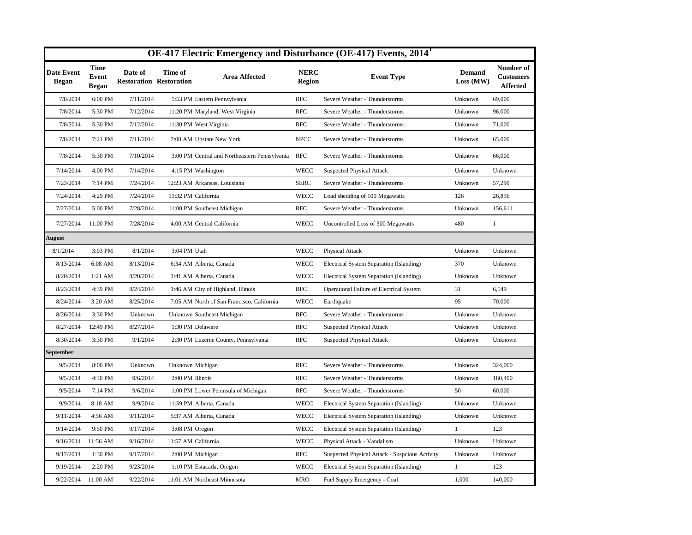|                            |                               |                                           | OE-417 Electric Emergency and Disturbance (OE-417) Events, 2014 <sup>1</sup> |                              |                                                |                            |                                                  |
|----------------------------|-------------------------------|-------------------------------------------|------------------------------------------------------------------------------|------------------------------|------------------------------------------------|----------------------------|--------------------------------------------------|
| <b>Date Event</b><br>Began | Time<br><b>Event</b><br>Began | Date of<br><b>Restoration Restoration</b> | Time of<br><b>Area Affected</b>                                              | <b>NERC</b><br><b>Region</b> | <b>Event Type</b>                              | <b>Demand</b><br>Loss (MW) | Number of<br><b>Customers</b><br><b>Affected</b> |
| 7/8/2014                   | 6:00 PM                       | 7/11/2014                                 | 5:53 PM Eastern Pennsylvania                                                 | <b>RFC</b>                   | Severe Weather - Thunderstorms                 | Unknown                    | 69,000                                           |
| 7/8/2014                   | 5:30 PM                       | 7/12/2014                                 | 11:20 PM Maryland, West Virginia                                             | <b>RFC</b>                   | Severe Weather - Thunderstorms                 | Unknown                    | 96,000                                           |
| 7/8/2014                   | 5:30 PM                       | 7/12/2014                                 | 11:30 PM West Virginia                                                       | <b>RFC</b>                   | Severe Weather - Thunderstorms                 | Unknown                    | 71,000                                           |
| 7/8/2014                   | 7:21 PM                       | 7/11/2014                                 | 7:00 AM Upstate New York                                                     | <b>NPCC</b>                  | Severe Weather - Thunderstorms                 | Unknown                    | 65,000                                           |
| 7/8/2014                   | 5:30 PM                       | 7/10/2014                                 | 3:00 PM Central and Northeastern Pennsylvania RFC                            |                              | Severe Weather - Thunderstorms                 | Unknown                    | 66,000                                           |
| 7/14/2014                  | 4:00 PM                       | 7/14/2014                                 | 4:15 PM Washington                                                           | <b>WECC</b>                  | <b>Suspected Physical Attack</b>               | Unknown                    | Unknown                                          |
| 7/23/2014                  | 7:14 PM                       | 7/24/2014                                 | 12:23 AM Arkansas, Louisiana                                                 | <b>SERC</b>                  | Severe Weather - Thunderstorms                 | Unknown                    | 57,299                                           |
| 7/24/2014                  | 4:29 PM                       | 7/24/2014                                 | 11:32 PM California                                                          | WECC                         | Load shedding of 100 Megawatts                 | 126                        | 26,856                                           |
| 7/27/2014                  | 5:00 PM                       | 7/28/2014                                 | 11:00 PM Southeast Michigan                                                  | <b>RFC</b>                   | Severe Weather - Thunderstorms                 | Unknown                    | 156,611                                          |
| 7/27/2014                  | 11:00 PM                      | 7/28/2014                                 | 4:00 AM Central California                                                   | <b>WECC</b>                  | Uncontrolled Loss of 300 Megawatts             | 480                        | 1                                                |
| August                     |                               |                                           |                                                                              |                              |                                                |                            |                                                  |
| 8/1/2014                   | 3:03 PM                       | 8/1/2014                                  | 3:04 PM Utah                                                                 | <b>WECC</b>                  | Physical Attack                                | Unknown                    | Unknown                                          |
| 8/13/2014                  | 6:08 AM                       | 8/13/2014                                 | 6:34 AM Alberta, Canada                                                      | <b>WECC</b>                  | Electrical System Separation (Islanding)       | 370                        | Unknown                                          |
| 8/20/2014                  | 1:21 AM                       | 8/20/2014                                 | 1:41 AM Alberta, Canada                                                      | <b>WECC</b>                  | Electrical System Separation (Islanding)       | Unknown                    | Unknown                                          |
| 8/23/2014                  | 4:39 PM                       | 8/24/2014                                 | 1:46 AM City of Highland, Illinois                                           | <b>RFC</b>                   | Operational Failure of Electrical System       | 31                         | 6,549                                            |
| 8/24/2014                  | 3:20 AM                       | 8/25/2014                                 | 7:05 AM North of San Francisco, California                                   | <b>WECC</b>                  | Earthquake                                     | 95                         | 70,000                                           |
| 8/26/2014                  | 3:30 PM                       | Unknown                                   | Unknown Southeast Michigan                                                   | <b>RFC</b>                   | Severe Weather - Thunderstorms                 | Unknown                    | Unknown                                          |
| 8/27/2014                  | 12:49 PM                      | 8/27/2014                                 | 1:30 PM Delaware                                                             | <b>RFC</b>                   | <b>Suspected Physical Attack</b>               | Unknown                    | Unknown                                          |
| 8/30/2014                  | 3:30 PM                       | 9/1/2014                                  | 2:30 PM Luzerne County, Pennsylvania                                         | <b>RFC</b>                   | <b>Suspected Physical Attack</b>               | Unknown                    | Unknown                                          |
| September                  |                               |                                           |                                                                              |                              |                                                |                            |                                                  |
| 9/5/2014                   | 8:00 PM                       | Unknown                                   | Unknown Michigan                                                             | <b>RFC</b>                   | Severe Weather - Thunderstorms                 | Unknown                    | 324,000                                          |
| 9/5/2014                   | 4:30 PM                       | 9/6/2014                                  | 2:00 PM Illinois                                                             | <b>RFC</b>                   | Severe Weather - Thunderstorms                 | Unknown                    | 180,400                                          |
| 9/5/2014                   | 7:14 PM                       | 9/6/2014                                  | 1:00 PM Lower Peninsula of Michigan                                          | <b>RFC</b>                   | Severe Weather - Thunderstorms                 | 50                         | 60,000                                           |
| 9/9/2014                   | 8:18 AM                       | 9/9/2014                                  | 11:59 PM Alberta, Canada                                                     | <b>WECC</b>                  | Electrical System Separation (Islanding)       | Unknown                    | Unknown                                          |
| 9/11/2014                  | 4:56 AM                       | 9/11/2014                                 | 5:37 AM Alberta, Canada                                                      | <b>WECC</b>                  | Electrical System Separation (Islanding)       | Unknown                    | Unknown                                          |
| 9/14/2014                  | 9:50 PM                       | 9/17/2014                                 | 3:08 PM Oregon                                                               | <b>WECC</b>                  | Electrical System Separation (Islanding)       | 1                          | 123                                              |
| 9/16/2014                  | 11:56 AM                      | 9/16/2014                                 | 11:57 AM California                                                          | <b>WECC</b>                  | Physical Attack - Vandalism                    | Unknown                    | Unknown                                          |
| 9/17/2014                  | 1:30 PM                       | 9/17/2014                                 | 2:00 PM Michigan                                                             | <b>RFC</b>                   | Suspected Physical Attack - Suspeious Activity | Unknown                    | Unknown                                          |
| 9/19/2014                  | 2:20 PM                       | 9/23/2014                                 | 1:10 PM Estacada, Oregon                                                     | <b>WECC</b>                  | Electrical System Separation (Islanding)       | $\mathbf{1}$               | 123                                              |
| 9/22/2014                  | 11:00 AM                      | 9/22/2014                                 | 11:01 AM Northeast Minnesota                                                 | <b>MRO</b>                   | Fuel Supply Emergency - Coal                   | 1,000                      | 140,000                                          |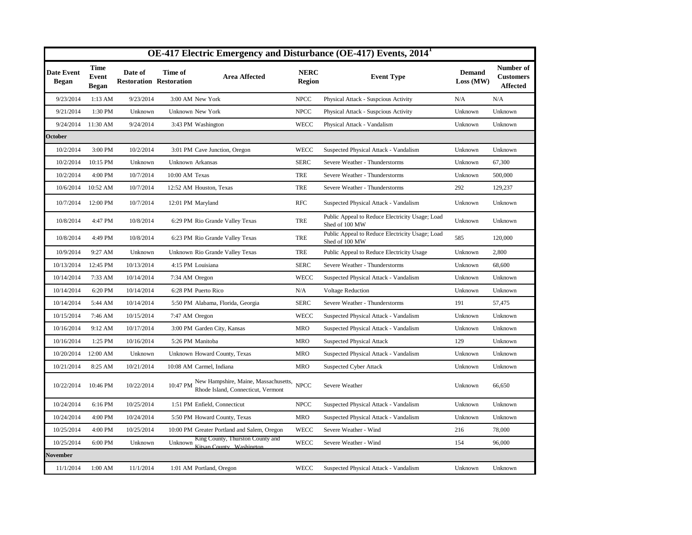| OE-417 Electric Emergency and Disturbance (OE-417) Events, 2014 <sup>1</sup> |                                      |                                           |                              |                                                                                          |                              |                                                                   |                            |                                                  |  |  |  |
|------------------------------------------------------------------------------|--------------------------------------|-------------------------------------------|------------------------------|------------------------------------------------------------------------------------------|------------------------------|-------------------------------------------------------------------|----------------------------|--------------------------------------------------|--|--|--|
| <b>Date Event</b><br><b>Began</b>                                            | <b>Time</b><br>Event<br><b>Began</b> | Date of<br><b>Restoration Restoration</b> | Time of                      | <b>Area Affected</b>                                                                     | <b>NERC</b><br><b>Region</b> | <b>Event Type</b>                                                 | <b>Demand</b><br>Loss (MW) | Number of<br><b>Customers</b><br><b>Affected</b> |  |  |  |
| 9/23/2014                                                                    | $1:13$ AM                            | 9/23/2014                                 | 3:00 AM New York             |                                                                                          | <b>NPCC</b>                  | Physical Attack - Suspcious Activity                              | N/A                        | N/A                                              |  |  |  |
| 9/21/2014                                                                    | 1:30 PM                              | Unknown                                   | Unknown New York             |                                                                                          | <b>NPCC</b>                  | Physical Attack - Suspcious Activity                              | Unknown                    | Unknown                                          |  |  |  |
| 9/24/2014                                                                    | 11:30 AM                             | 9/24/2014                                 | 3:43 PM Washington           |                                                                                          | <b>WECC</b>                  | Physical Attack - Vandalism                                       | Unknown                    | Unknown                                          |  |  |  |
| October                                                                      |                                      |                                           |                              |                                                                                          |                              |                                                                   |                            |                                                  |  |  |  |
| 10/2/2014                                                                    | 3:00 PM                              | 10/2/2014                                 |                              | 3:01 PM Cave Junction, Oregon                                                            | WECC                         | Suspected Physical Attack - Vandalism                             | Unknown                    | Unknown                                          |  |  |  |
| 10/2/2014                                                                    | 10:15 PM                             | Unknown                                   | Unknown Arkansas             |                                                                                          | <b>SERC</b>                  | Severe Weather - Thunderstorms                                    | Unknown                    | 67,300                                           |  |  |  |
| 10/2/2014                                                                    | 4:00 PM                              | 10/7/2014                                 | 10:00 AM Texas               |                                                                                          | <b>TRE</b>                   | Severe Weather - Thunderstorms                                    | Unknown                    | 500,000                                          |  |  |  |
| 10/6/2014                                                                    | 10:52 AM                             | 10/7/2014                                 | 12:52 AM Houston, Texas      |                                                                                          | <b>TRE</b>                   | Severe Weather - Thunderstorms                                    | 292                        | 129,237                                          |  |  |  |
| 10/7/2014                                                                    | 12:00 PM                             | 10/7/2014                                 | 12:01 PM Maryland            |                                                                                          | <b>RFC</b>                   | Suspected Physical Attack - Vandalism                             | Unknown                    | Unknown                                          |  |  |  |
| 10/8/2014                                                                    | 4:47 PM                              | 10/8/2014                                 |                              | 6:29 PM Rio Grande Valley Texas                                                          | <b>TRE</b>                   | Public Appeal to Reduce Electricity Usage; Load<br>Shed of 100 MW | Unknown                    | Unknown                                          |  |  |  |
| 10/8/2014                                                                    | 4:49 PM                              | 10/8/2014                                 |                              | 6:23 PM Rio Grande Valley Texas                                                          | <b>TRE</b>                   | Public Appeal to Reduce Electricity Usage; Load<br>Shed of 100 MW | 585                        | 120,000                                          |  |  |  |
| 10/9/2014                                                                    | 9:27 AM                              | Unknown                                   |                              | Unknown Rio Grande Valley Texas                                                          | <b>TRE</b>                   | Public Appeal to Reduce Electricity Usage                         | Unknown                    | 2,800                                            |  |  |  |
| 10/13/2014                                                                   | 12:45 PM                             | 10/13/2014                                | 4:15 PM Louisiana            |                                                                                          | <b>SERC</b>                  | Severe Weather - Thunderstorms                                    | Unknown                    | 68,600                                           |  |  |  |
| 10/14/2014                                                                   | 7:33 AM                              | 10/14/2014                                | 7:34 AM Oregon               |                                                                                          | <b>WECC</b>                  | Suspected Physical Attack - Vandalism                             | Unknown                    | Unknown                                          |  |  |  |
| 10/14/2014                                                                   | 6:20 PM                              | 10/14/2014                                | 6:28 PM Puerto Rico          |                                                                                          | N/A                          | <b>Voltage Reduction</b>                                          | Unknown                    | Unknown                                          |  |  |  |
| 10/14/2014                                                                   | 5:44 AM                              | 10/14/2014                                |                              | 5:50 PM Alabama, Florida, Georgia                                                        | <b>SERC</b>                  | Severe Weather - Thunderstorms                                    | 191                        | 57,475                                           |  |  |  |
| 10/15/2014                                                                   | 7:46 AM                              | 10/15/2014                                | 7:47 AM Oregon               |                                                                                          | WECC                         | Suspected Physical Attack - Vandalism                             | Unknown                    | Unknown                                          |  |  |  |
| 10/16/2014                                                                   | 9:12 AM                              | 10/17/2014                                | 3:00 PM Garden City, Kansas  |                                                                                          | <b>MRO</b>                   | Suspected Physical Attack - Vandalism                             | Unknown                    | Unknown                                          |  |  |  |
| 10/16/2014                                                                   | 1:25 PM                              | 10/16/2014                                | 5:26 PM Manitoba             |                                                                                          | <b>MRO</b>                   | <b>Suspected Physical Attack</b>                                  | 129                        | Unknown                                          |  |  |  |
| 10/20/2014                                                                   | 12:00 AM                             | Unknown                                   |                              | Unknown Howard County, Texas                                                             | <b>MRO</b>                   | Suspected Physical Attack - Vandalism                             | Unknown                    | Unknown                                          |  |  |  |
| 10/21/2014                                                                   | 8:25 AM                              | 10/21/2014                                | 10:08 AM Carmel, Indiana     |                                                                                          | <b>MRO</b>                   | <b>Suspected Cyber Attack</b>                                     | Unknown                    | Unknown                                          |  |  |  |
| 10/22/2014                                                                   | 10:46 PM                             | 10/22/2014                                |                              | 10:47 PM New Hampshire, Maine, Massachusetts, NPCC<br>Rhode Island, Connecticut, Vermont |                              | Severe Weather                                                    | Unknown                    | 66,650                                           |  |  |  |
| 10/24/2014                                                                   | 6:16 PM                              | 10/25/2014                                | 1:51 PM Enfield, Connecticut |                                                                                          | <b>NPCC</b>                  | Suspected Physical Attack - Vandalism                             | Unknown                    | Unknown                                          |  |  |  |
| 10/24/2014                                                                   | 4:00 PM                              | 10/24/2014                                |                              | 5:50 PM Howard County, Texas                                                             | <b>MRO</b>                   | Suspected Physical Attack - Vandalism                             | Unknown                    | Unknown                                          |  |  |  |
| 10/25/2014                                                                   | 4:00 PM                              | 10/25/2014                                |                              | 10:00 PM Greater Portland and Salem, Oregon                                              | <b>WECC</b>                  | Severe Weather - Wind                                             | 216                        | 78,000                                           |  |  |  |
| 10/25/2014                                                                   | 6:00 PM                              | Unknown                                   | Unknown                      | King County, Thurston County and<br>Kitsan County, Washington                            | <b>WECC</b>                  | Severe Weather - Wind                                             | 154                        | 96,000                                           |  |  |  |
| November                                                                     |                                      |                                           |                              |                                                                                          |                              |                                                                   |                            |                                                  |  |  |  |
| 11/1/2014                                                                    | $1:00$ AM                            | 11/1/2014                                 | 1:01 AM Portland, Oregon     |                                                                                          | <b>WECC</b>                  | Suspected Physical Attack - Vandalism                             | Unknown                    | Unknown                                          |  |  |  |